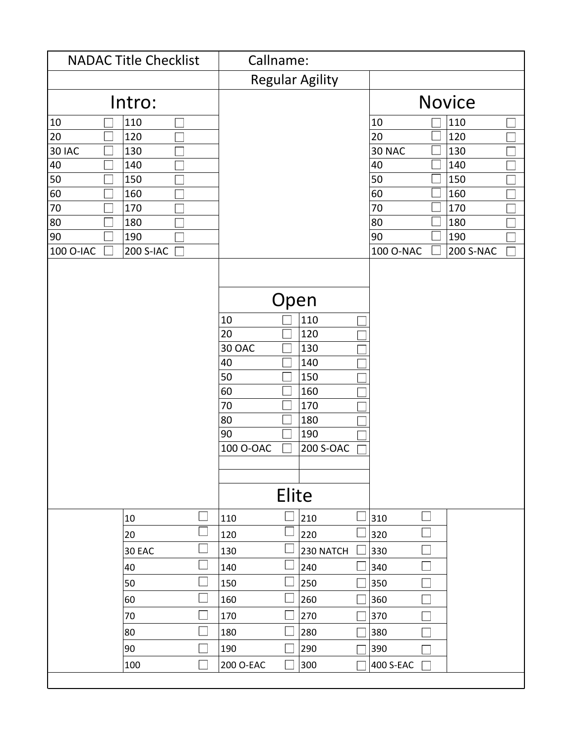| <b>NADAC Title Checklist</b>  | Callname:                                                                                                                                  |           |           |                  |  |
|-------------------------------|--------------------------------------------------------------------------------------------------------------------------------------------|-----------|-----------|------------------|--|
|                               | <b>Regular Agility</b>                                                                                                                     |           |           |                  |  |
| Intro:                        |                                                                                                                                            |           |           | <b>Novice</b>    |  |
| 110<br>10                     |                                                                                                                                            |           | 10        | 110              |  |
| 20<br>120                     |                                                                                                                                            |           | 20        | 120              |  |
| <b>30 IAC</b><br>130          |                                                                                                                                            |           | 30 NAC    | 130              |  |
| 40<br>140                     |                                                                                                                                            |           | 40        | 140              |  |
| 50<br>150                     |                                                                                                                                            |           | 50        | 150              |  |
| 60<br>160                     |                                                                                                                                            |           | 60        | 160              |  |
| 70<br>170                     |                                                                                                                                            |           | 70        | 170              |  |
| 80<br>180                     |                                                                                                                                            |           | 80        | 180              |  |
| 90<br>190                     |                                                                                                                                            |           | 90        | 190              |  |
| 100 O-IAC<br><b>200 S-IAC</b> |                                                                                                                                            |           | 100 O-NAC | <b>200 S-NAC</b> |  |
|                               | Open<br>10<br>110<br>20<br>120<br>30 OAC<br>130<br>40<br>140<br>50<br>150<br>60<br>160<br>70<br>170<br>80<br>180<br>90<br>190<br>100 O-OAC | 200 S-OAC |           |                  |  |
|                               | Elite                                                                                                                                      |           |           |                  |  |
| 10                            | 210<br>110                                                                                                                                 |           | 310       |                  |  |
| 20                            | 120<br>220                                                                                                                                 |           | 320       |                  |  |
| 30 EAC                        | 130                                                                                                                                        | 230 NATCH | 330       |                  |  |
| 40                            | 240<br>140                                                                                                                                 |           | 340       |                  |  |
| 50                            | 150<br>250                                                                                                                                 |           | 350       |                  |  |
| 60                            | 260<br>160                                                                                                                                 |           | 360       |                  |  |
| 70                            | 170<br>270                                                                                                                                 |           | 370       |                  |  |
| 80                            | 280<br>180                                                                                                                                 |           | 380       |                  |  |
| 90                            | 190<br>290                                                                                                                                 |           | 390       |                  |  |
| 100                           | 200 O-EAC<br>300                                                                                                                           |           | 400 S-EAC |                  |  |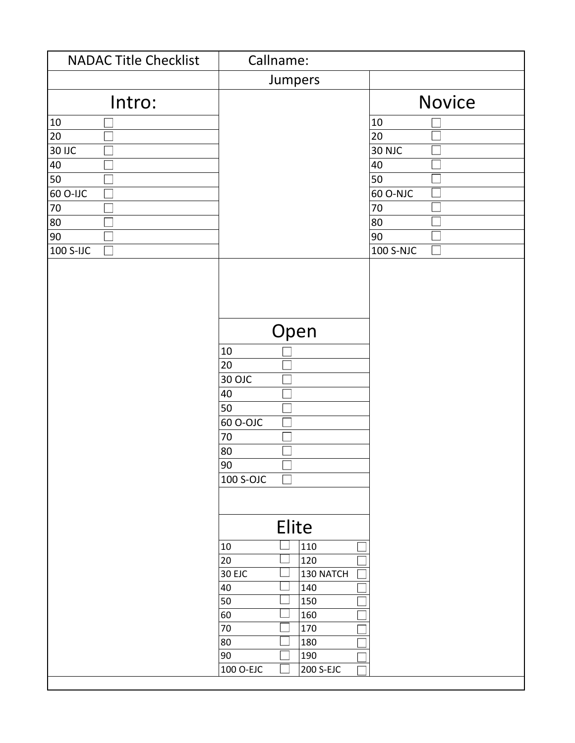| <b>NADAC Title Checklist</b> | Callname:                                                                                      |               |
|------------------------------|------------------------------------------------------------------------------------------------|---------------|
|                              | Jumpers                                                                                        |               |
| Intro:                       |                                                                                                | <b>Novice</b> |
| 10                           |                                                                                                | $10\,$        |
| 20                           |                                                                                                | 20            |
| <b>30 IJC</b>                |                                                                                                | <b>30 NJC</b> |
| 40                           |                                                                                                | 40            |
| 50                           |                                                                                                | 50            |
| 60 O-IJC                     |                                                                                                | 60 O-NJC      |
| 70                           |                                                                                                | $70\,$        |
| 80                           |                                                                                                | 80            |
| 90                           |                                                                                                | 90            |
| 100 S-IJC                    |                                                                                                | 100 S-NJC     |
|                              | Open<br>$10\,$<br>20<br>30 OJC<br>40<br>50<br>60 O-OJC<br>70<br>80<br>90<br>100 S-OJC<br>Elite |               |
|                              |                                                                                                |               |
|                              | $10\,$<br>110<br>20<br>120                                                                     |               |
|                              | 30 EJC<br>130 NATCH                                                                            |               |
|                              | 40<br>140                                                                                      |               |
|                              | 50<br>150                                                                                      |               |
|                              | 60<br>160                                                                                      |               |
|                              | 70<br>170                                                                                      |               |
|                              | 80<br>180                                                                                      |               |
|                              | 90<br>190                                                                                      |               |
|                              | 100 O-EJC<br>200 S-EJC                                                                         |               |
|                              |                                                                                                |               |

 $\mathbf{l}$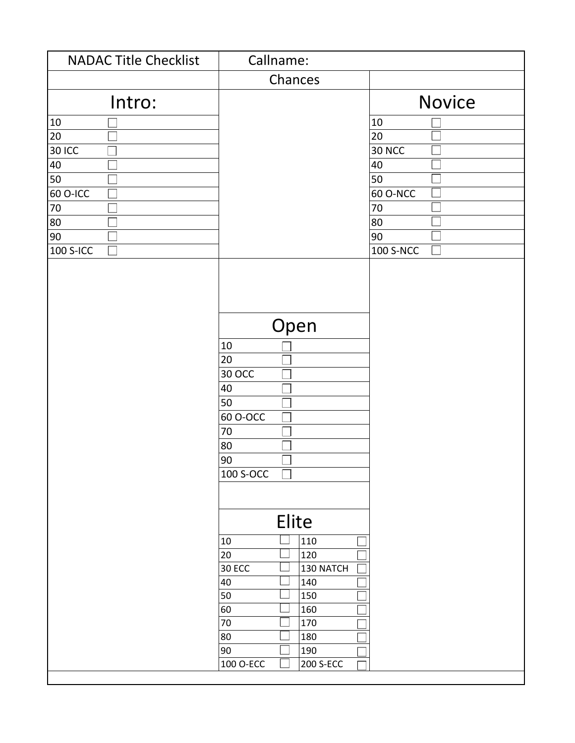| <b>NADAC Title Checklist</b> | Callname:                                                                                               |                  |
|------------------------------|---------------------------------------------------------------------------------------------------------|------------------|
|                              | Chances                                                                                                 |                  |
| Intro:                       |                                                                                                         | <b>Novice</b>    |
| 10                           |                                                                                                         | $10\,$           |
| 20                           |                                                                                                         | 20               |
| <b>30 ICC</b>                |                                                                                                         | <b>30 NCC</b>    |
| 40                           |                                                                                                         | 40               |
| 50                           |                                                                                                         | 50               |
| 60 O-ICC                     |                                                                                                         | 60 O-NCC         |
| 70                           |                                                                                                         | $70\,$           |
| 80                           |                                                                                                         | 80               |
| 90                           |                                                                                                         | 90               |
| <b>100 S-ICC</b>             |                                                                                                         | <b>100 S-NCC</b> |
|                              | Open<br>$10\,$<br>20<br>30 OCC<br>40<br>50<br>60 O-OCC<br>70<br>80<br>90<br>100 S-OCC<br>$\blacksquare$ |                  |
|                              | Elite<br>110<br>$10\,$                                                                                  |                  |
|                              | 20<br>120                                                                                               |                  |
|                              | <b>30 ECC</b><br>130 NATCH                                                                              |                  |
|                              | 40<br>140                                                                                               |                  |
|                              | 50<br>150                                                                                               |                  |
|                              | 60<br>160                                                                                               |                  |
|                              | 70<br>170                                                                                               |                  |
|                              | 80<br>180                                                                                               |                  |
|                              | 90<br>190                                                                                               |                  |
|                              | 100 O-ECC<br>200 S-ECC                                                                                  |                  |
|                              |                                                                                                         |                  |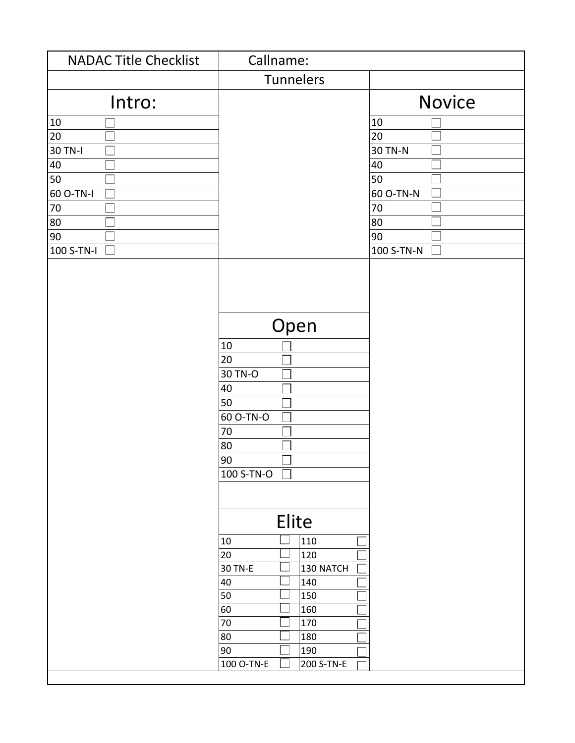| <b>NADAC Title Checklist</b> | Callname:                                                                                 |               |
|------------------------------|-------------------------------------------------------------------------------------------|---------------|
|                              | Tunnelers                                                                                 |               |
| Intro:                       |                                                                                           | <b>Novice</b> |
| 10                           |                                                                                           | $10\,$        |
| $\overline{20}$              |                                                                                           | 20            |
| 30 TN-I                      |                                                                                           | 30 TN-N       |
| 40                           |                                                                                           | 40            |
| 50                           |                                                                                           | 50            |
| 60 O-TN-I                    |                                                                                           | 60 O-TN-N     |
| $\overline{70}$              |                                                                                           | $70\,$        |
| 80                           |                                                                                           | 80            |
| 90                           |                                                                                           | 90            |
| 100 S-TN-I                   |                                                                                           | 100 S-TN-N    |
|                              | Open<br>10<br>20<br>30 TN-O<br>40<br>50<br>60 O-TN-O<br>70<br>80<br>90<br>100 S-TN-O<br>H |               |
|                              | Elite                                                                                     |               |
|                              | 110<br>10                                                                                 |               |
|                              | 20<br>120                                                                                 |               |
|                              | 30 TN-E<br>130 NATCH                                                                      |               |
|                              | 40<br>140                                                                                 |               |
|                              | 50<br>150                                                                                 |               |
|                              | 60<br>160                                                                                 |               |
|                              | 70<br>170                                                                                 |               |
|                              | 80<br>180                                                                                 |               |
|                              | 90<br>190                                                                                 |               |
|                              | 100 O-TN-E<br>200 S-TN-E                                                                  |               |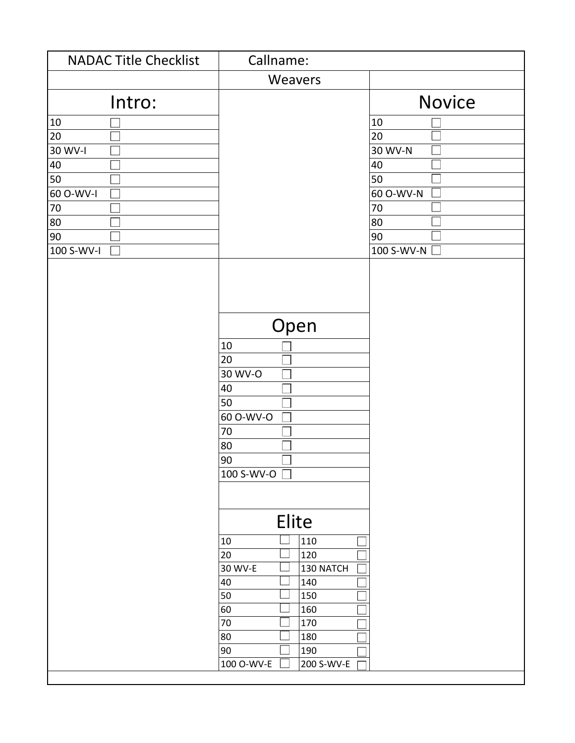| <b>NADAC Title Checklist</b> | Callname:                                                                                                |               |
|------------------------------|----------------------------------------------------------------------------------------------------------|---------------|
|                              | Weavers                                                                                                  |               |
| Intro:                       |                                                                                                          | <b>Novice</b> |
| 10                           |                                                                                                          | 10            |
| 20                           |                                                                                                          | 20            |
| 30 WV-I                      |                                                                                                          | 30 WV-N       |
| 40                           |                                                                                                          | 40            |
| 50                           |                                                                                                          | 50            |
| 60 O-WV-I                    |                                                                                                          | 60 O-WV-N     |
| 70                           |                                                                                                          | $70\,$        |
| 80                           |                                                                                                          | 80            |
| 90                           |                                                                                                          | 90            |
| 100 S-WV-I                   |                                                                                                          | 100 S-WV-N    |
|                              | Open<br>$10\,$<br>20<br>30 WV-O<br>40<br>50<br>60 O-WV-O<br>70<br>80<br>90<br>100 S-WV-O $\Box$<br>Elite |               |
|                              | 110<br>$10\,$                                                                                            |               |
|                              | 20<br>120                                                                                                |               |
|                              | 30 WV-E<br>130 NATCH                                                                                     |               |
|                              | 40<br>140                                                                                                |               |
|                              | 50<br>150                                                                                                |               |
|                              | 60<br>160                                                                                                |               |
|                              | 70<br>170                                                                                                |               |
|                              | 80<br>180                                                                                                |               |
|                              | 90<br>190                                                                                                |               |
|                              | 100 O-WV-E<br>200 S-WV-E                                                                                 |               |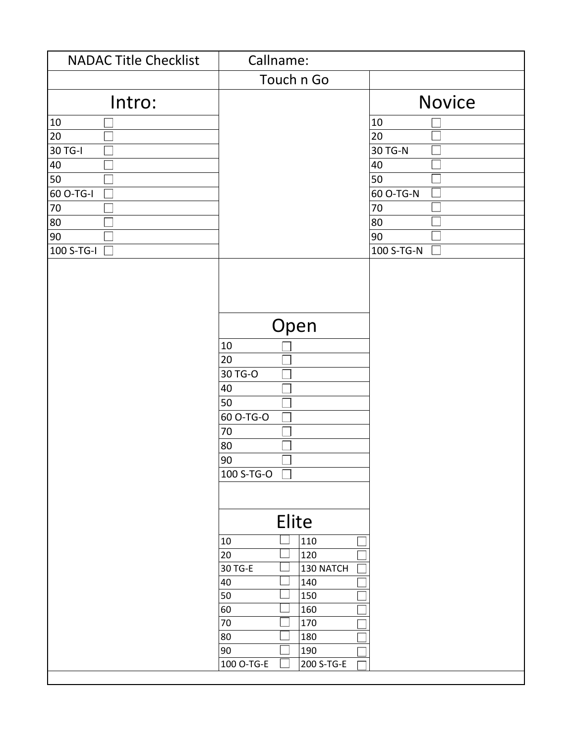| <b>NADAC Title Checklist</b> | Callname:                                                                                 |               |
|------------------------------|-------------------------------------------------------------------------------------------|---------------|
|                              | Touch n Go                                                                                |               |
| Intro:                       |                                                                                           | <b>Novice</b> |
| 10                           |                                                                                           | $10\,$        |
| 20                           |                                                                                           | 20            |
| 30 TG-I                      |                                                                                           | 30 TG-N       |
| 40                           |                                                                                           | 40            |
| 50                           |                                                                                           | 50            |
| 60 O-TG-I                    |                                                                                           | 60 O-TG-N     |
| $70$                         |                                                                                           | $70\,$        |
| 80                           |                                                                                           | 80            |
| 90                           |                                                                                           | 90            |
| 100 S-TG-I                   |                                                                                           | 100 S-TG-N    |
|                              | Open<br>10<br>20<br>30 TG-O<br>40<br>50<br>60 O-TG-O<br>70<br>80<br>90<br>100 S-TG-O<br>H |               |
|                              | Elite                                                                                     |               |
|                              | 110<br>10                                                                                 |               |
|                              | 20<br>120                                                                                 |               |
|                              | 30 TG-E<br>130 NATCH                                                                      |               |
|                              | 40<br>140                                                                                 |               |
|                              | 50<br>150                                                                                 |               |
|                              | 60<br>160                                                                                 |               |
|                              | 70<br>170                                                                                 |               |
|                              | 80<br>180                                                                                 |               |
|                              | 90<br>190                                                                                 |               |
|                              | 100 O-TG-E<br>200 S-TG-E                                                                  |               |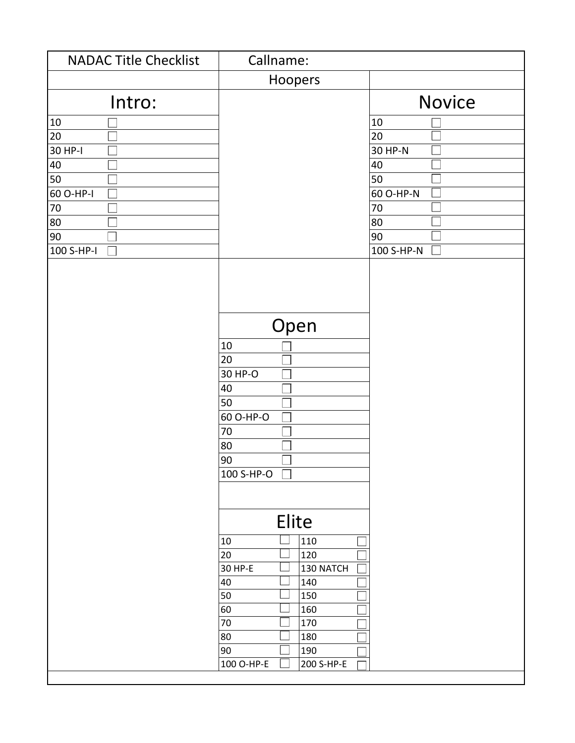| <b>NADAC Title Checklist</b> | Callname:                                                                                 |               |
|------------------------------|-------------------------------------------------------------------------------------------|---------------|
|                              | Hoopers                                                                                   |               |
| Intro:                       |                                                                                           | <b>Novice</b> |
| 10                           |                                                                                           | $10\,$        |
| $\overline{20}$              |                                                                                           | 20            |
| 30 HP-I                      |                                                                                           | 30 HP-N       |
| 40                           |                                                                                           | 40            |
| 50                           |                                                                                           | 50            |
| 60 O-HP-I                    |                                                                                           | 60 O-HP-N     |
| $70$                         |                                                                                           | $70\,$        |
| 80                           |                                                                                           | 80            |
| 90                           |                                                                                           | 90            |
| $100 S-HP-I$<br>٦            |                                                                                           | 100 S-HP-N    |
|                              | Open<br>10<br>20<br>30 HP-O<br>40<br>50<br>60 O-HP-O<br>70<br>80<br>90<br>100 S-HP-O<br>H |               |
|                              | Elite                                                                                     |               |
|                              | 110<br>10                                                                                 |               |
|                              | 20<br>120                                                                                 |               |
|                              | 30 HP-E<br>130 NATCH                                                                      |               |
|                              | 40<br>140                                                                                 |               |
|                              | 50<br>150                                                                                 |               |
|                              | 60<br>160                                                                                 |               |
|                              | 70<br>170                                                                                 |               |
|                              | 80<br>180                                                                                 |               |
|                              | 90<br>190                                                                                 |               |
|                              | 100 O-HP-E<br>200 S-HP-E                                                                  |               |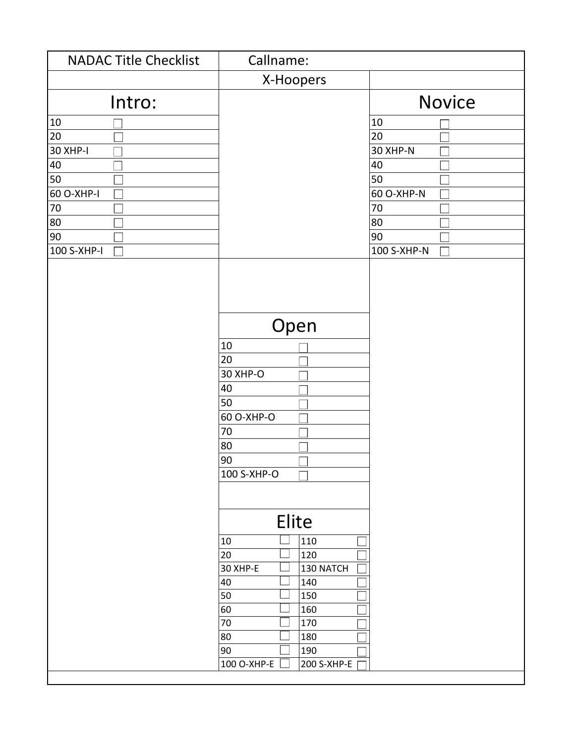| <b>NADAC Title Checklist</b> | Callname:                                                                                   |               |
|------------------------------|---------------------------------------------------------------------------------------------|---------------|
|                              | X-Hoopers                                                                                   |               |
| Intro:                       |                                                                                             | <b>Novice</b> |
| 10                           |                                                                                             | 10            |
| 20                           |                                                                                             | 20            |
| <b>30 XHP-I</b>              |                                                                                             | 30 XHP-N      |
| 40                           |                                                                                             | 40            |
| 50                           |                                                                                             | 50            |
| 60 O-XHP-I                   |                                                                                             | 60 O-XHP-N    |
| $70\,$                       |                                                                                             | $70\,$        |
| 80                           |                                                                                             | 80            |
| 90                           |                                                                                             | 90            |
| 100 S-XHP-I                  |                                                                                             | 100 S-XHP-N   |
|                              | Open<br>$10\,$<br>20<br>30 XHP-O<br>40<br>50<br>60 O-XHP-O<br>70<br>80<br>90<br>100 S-XHP-O |               |
|                              | Elite                                                                                       |               |
|                              | 110<br>10                                                                                   |               |
|                              | 20<br>120                                                                                   |               |
|                              | 30 XHP-E<br>130 NATCH                                                                       |               |
|                              | 40<br>140                                                                                   |               |
|                              | 50<br>150                                                                                   |               |
|                              | 160<br>60                                                                                   |               |
|                              | 70<br>170                                                                                   |               |
|                              | 80<br>180                                                                                   |               |
|                              | 90<br>190                                                                                   |               |
|                              | 100 O-XHP-E<br>200 S-XHP-E                                                                  |               |